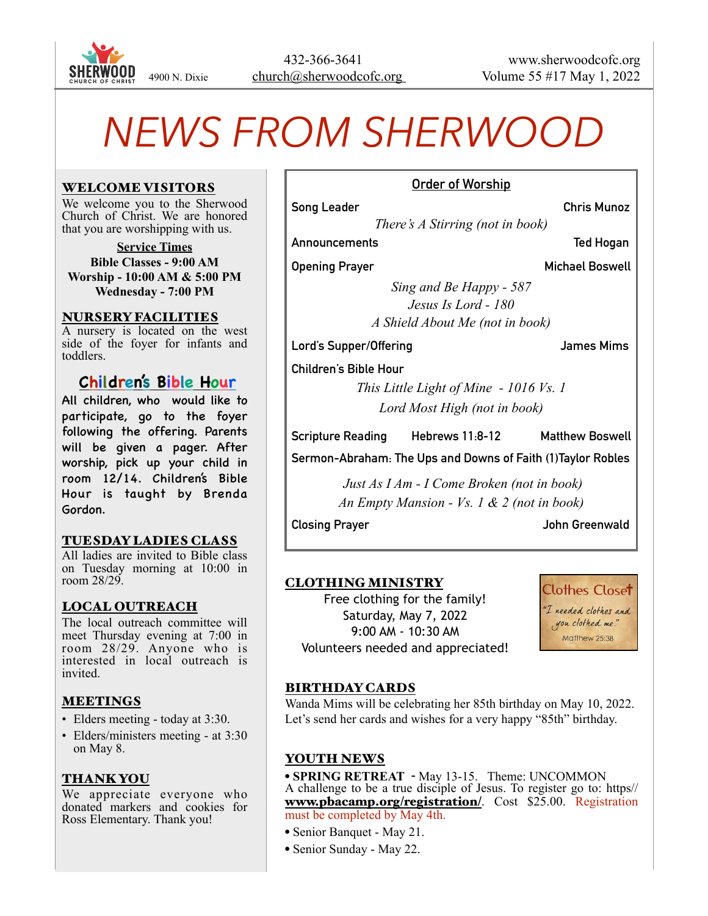

# *NEWS FROM SHERWOOD*

#### WELCOME VISITORS

We welcome you to the Sherwood Church of Christ. We are honored that you are worshipping with us.

**Service Times Bible Classes - 9:00 AM Worship - 10:00 AM & 5:00 PM Wednesday - 7:00 PM**

#### NURSERY FACILITIES

A nursery is located on the west side of the foyer for infants and toddlers.

## **Children's Bible Hour**

All children, who would like to participate, go to the foyer following the offering. Parents will be given a pager. After worship, pick up your child in room 12/14. Children's Bible Hour is taught by Brenda Gordon.

#### TUESDAY LADIES CLASS

All ladies are invited to Bible class on Tuesday morning at 10:00 in room 28/29.

## LOCAL OUTREACH

The local outreach committee will meet Thursday evening at 7:00 in room 28/29. Anyone who is interested in local outreach is invited.

#### MEETINGS

- Elders meeting today at 3:30.
- Elders/ministers meeting at 3:30 on May 8.

#### THANK YOU

We appreciate everyone who donated markers and cookies for Ross Elementary. Thank you!

## **Order of Worship**

**Song Leader Chris Munoz** 

*There's A Stirring (not in book)*

**Announcements Ted Hogan**

**Opening Prayer Michael Boswell** 

*Sing and Be Happy - 587 Jesus Is Lord - 180 A Shield About Me (not in book)* 

**Lord's Supper/Offering James Mims**

**Children's Bible Hour**

*This Little Light of Mine - 1016 Vs. 1 Lord Most High (not in book)*

**Scripture Reading Hebrews 11:8-12 Matthew Boswell**

**Sermon-Abraham: The Ups and Downs of Faith (1)Taylor Robles**

 *Just As I Am - I Come Broken (not in book) An Empty Mansion - Vs. 1 & 2 (not in book)*

**Closing Prayer Construction Closing Prayer** And The Los Andrews John Greenwald

#### CLOTHING MINISTRY

Free clothing for the family! Saturday, May 7, 2022 9:00 AM - 10:30 AM Volunteers needed and appreciated!



## BIRTHDAY CARDS

Wanda Mims will be celebrating her 85th birthday on May 10, 2022. Let's send her cards and wishes for a very happy "85th" birthday.

## YOUTH NEWS

• **SPRING RETREAT** - May 13-15. Theme: UNCOMMON A challenge to be a true disciple of Jesus. To register go to: https// [www.pbacamp.org/registration/](http://www.pbacamp.org/registration/). Cost \$25.00. Registration must be completed by May 4th.

- Senior Banquet May 21.
- Senior Sunday May 22.